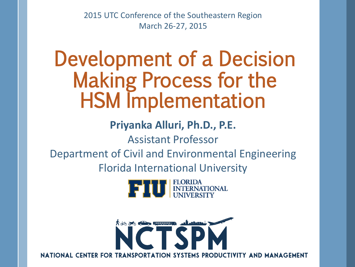2015 UTC Conference of the Southeastern Region March 26-27, 2015

# Development of a Decision Making Process for the HSM Implementation

**Priyanka Alluri, Ph.D., P.E.** Assistant Professor Department of Civil and Environmental Engineering Florida International University



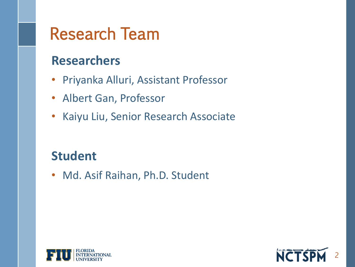#### Research Team

#### **Researchers**

- Priyanka Alluri, Assistant Professor
- Albert Gan, Professor
- Kaiyu Liu, Senior Research Associate

#### **Student**

• Md. Asif Raihan, Ph.D. Student



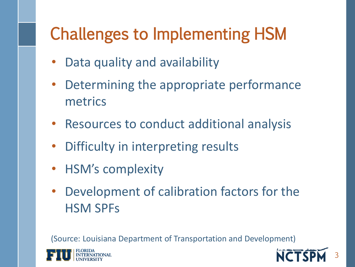# Challenges to Implementing HSM

- Data quality and availability
- Determining the appropriate performance metrics
- Resources to conduct additional analysis
- Difficulty in interpreting results
- HSM's complexity
- Development of calibration factors for the HSM SPFs

(Source: Louisiana Department of Transportation and Development)



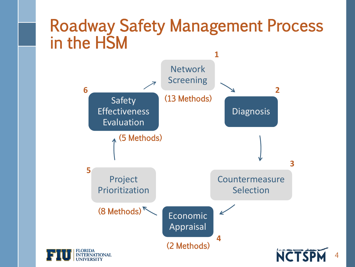#### Roadway Safety Management Process in the HSM



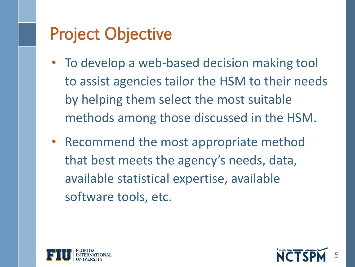## Project Objective

- To develop a web-based decision making tool to assist agencies tailor the HSM to their needs by helping them select the most suitable methods among those discussed in the HSM.
- Recommend the most appropriate method that best meets the agency's needs, data, available statistical expertise, available software tools, etc.



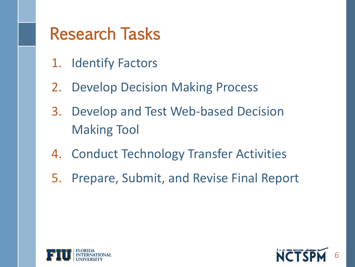#### Research Tasks

- 1. Identify Factors
- 2. Develop Decision Making Process
- 3. Develop and Test Web-based Decision Making Tool
- 4. Conduct Technology Transfer Activities
- 5. Prepare, Submit, and Revise Final Report



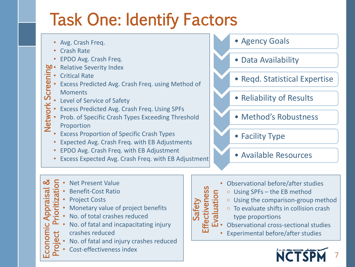# Task One: Identify Factors

- Avg. Crash Freq.
- Crash Rate
- EPDO Avg. Crash Freq.
- Relative Severity Index
- Critical Rate
- Excess Predicted Avg. Crash Freq. using Method of Moments Network Screening
	- Level of Service of Safety
	- Excess Predicted Avg. Crash Freq. Using SPFs
- **Network** • Prob. of Specific Crash Types Exceeding Threshold Proportion
	- Excess Proportion of Specific Crash Types
	- Expected Avg. Crash Freq. with EB Adjustments
	- EPDO Avg. Crash Freq. with EB Adjustment
	- Excess Expected Avg. Crash Freq. with EB Adjustment

#### • Agency Goals

- Data Availability
- Reqd. Statistical Expertise
- Reliability of Results
- Method's Robustness
- Facility Type
- Available Resources

- Net Present Value Economic Appraisal &
	- Benefit-Cost Ratio
	- Project Costs

Appraisal

conomic

- Monetary value of project benefits
- No. of total crashes reduced
- Project Prioritization • No. of fatal and incapacitating injury crashes reduced ect
	- No. of fatal and injury crashes reduced
	- Cost-effectiveness index

• Observational before/after studies

o Using SPFs – the EB method

Safety **Effectiveness** 

- o Using the comparison-group method
- o To evaluate shifts in collision crash type proportions • Using SPFs – the EB method<br>• Using the comparison-group method<br>• To evaluate shifts in collision crash<br>type proportions<br>• Observational cross-sectional studies
- Evaluation
	- Experimental before/after studies

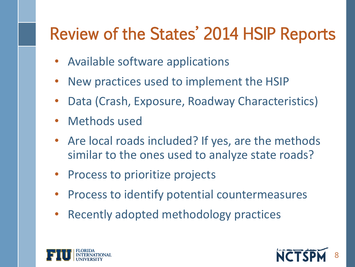# Review of the States' 2014 HSIP Reports

- Available software applications
- New practices used to implement the HSIP
- Data (Crash, Exposure, Roadway Characteristics)
- Methods used
- Are local roads included? If yes, are the methods similar to the ones used to analyze state roads?
- Process to prioritize projects
- Process to identify potential countermeasures
- Recently adopted methodology practices



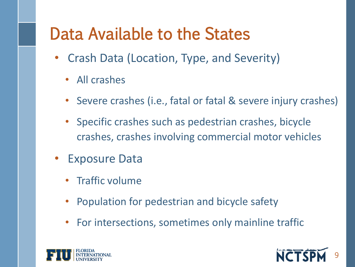## Data Available to the States

- Crash Data (Location, Type, and Severity)
	- All crashes
	- Severe crashes (i.e., fatal or fatal & severe injury crashes)
	- Specific crashes such as pedestrian crashes, bicycle crashes, crashes involving commercial motor vehicles
- **Exposure Data** 
	- Traffic volume
	- Population for pedestrian and bicycle safety
	- For intersections, sometimes only mainline traffic



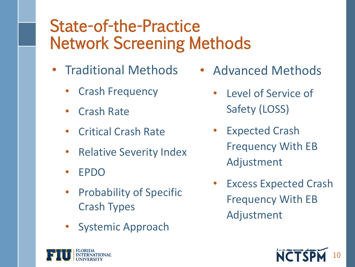## State-of-the-Practice Network Screening Methods

- Traditional Methods
	- Crash Frequency
	- Crash Rate
	- Critical Crash Rate
	- **Relative Severity Index**
	- EPDO
	- **Probability of Specific** Crash Types
	- Systemic Approach
- Advanced Methods
	- Level of Service of Safety (LOSS)
	- **Expected Crash** Frequency With EB Adjustment
	- **Excess Expected Crash** Frequency With EB Adjustment



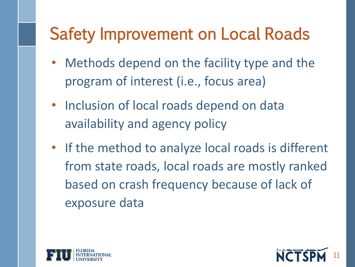# Safety Improvement on Local Roads

- Methods depend on the facility type and the program of interest (i.e., focus area)
- Inclusion of local roads depend on data availability and agency policy
- If the method to analyze local roads is different from state roads, local roads are mostly ranked based on crash frequency because of lack of exposure data



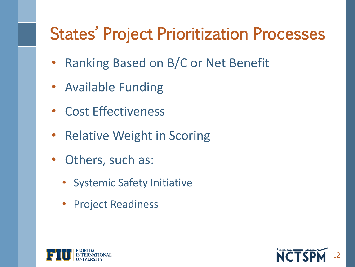# States' Project Prioritization Processes

- Ranking Based on B/C or Net Benefit
- Available Funding
- Cost Effectiveness
- Relative Weight in Scoring
- Others, such as:
	- Systemic Safety Initiative
	- Project Readiness



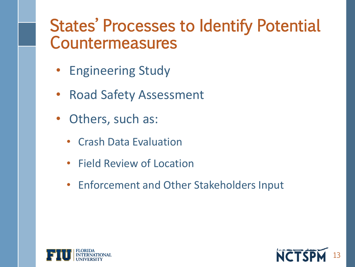#### States' Processes to Identify Potential Countermeasures

- Engineering Study
- Road Safety Assessment
- Others, such as:
	- Crash Data Evaluation
	- Field Review of Location
	- Enforcement and Other Stakeholders Input



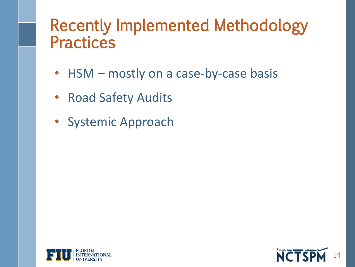#### Recently Implemented Methodology **Practices**

- HSM mostly on a case-by-case basis
- Road Safety Audits
- Systemic Approach



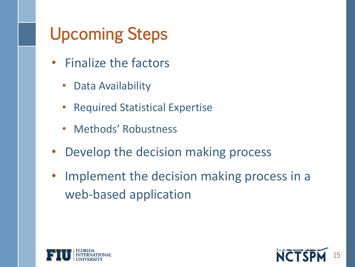# Upcoming Steps

- Finalize the factors
	- Data Availability
	- Required Statistical Expertise
	- Methods' Robustness
- Develop the decision making process
- Implement the decision making process in a web-based application



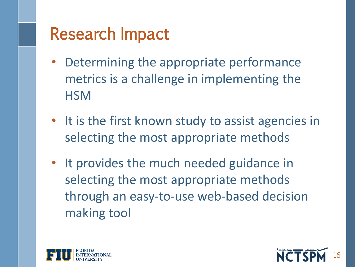### Research Impact

- Determining the appropriate performance metrics is a challenge in implementing the **HSM**
- It is the first known study to assist agencies in selecting the most appropriate methods
- It provides the much needed guidance in selecting the most appropriate methods through an easy-to-use web-based decision making tool



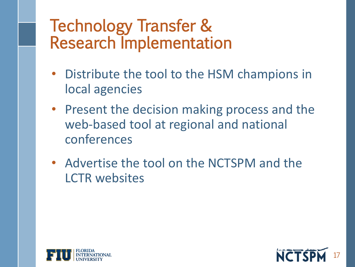#### Technology Transfer & Research Implementation

- Distribute the tool to the HSM champions in local agencies
- Present the decision making process and the web-based tool at regional and national conferences
- Advertise the tool on the NCTSPM and the LCTR websites



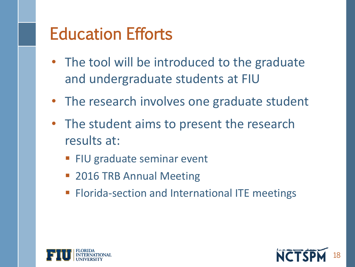## Education Efforts

- The tool will be introduced to the graduate and undergraduate students at FIU
- The research involves one graduate student
- The student aims to present the research results at:
	- FIU graduate seminar event
	- **2016 TRB Annual Meeting**
	- **Florida-section and International ITE meetings**